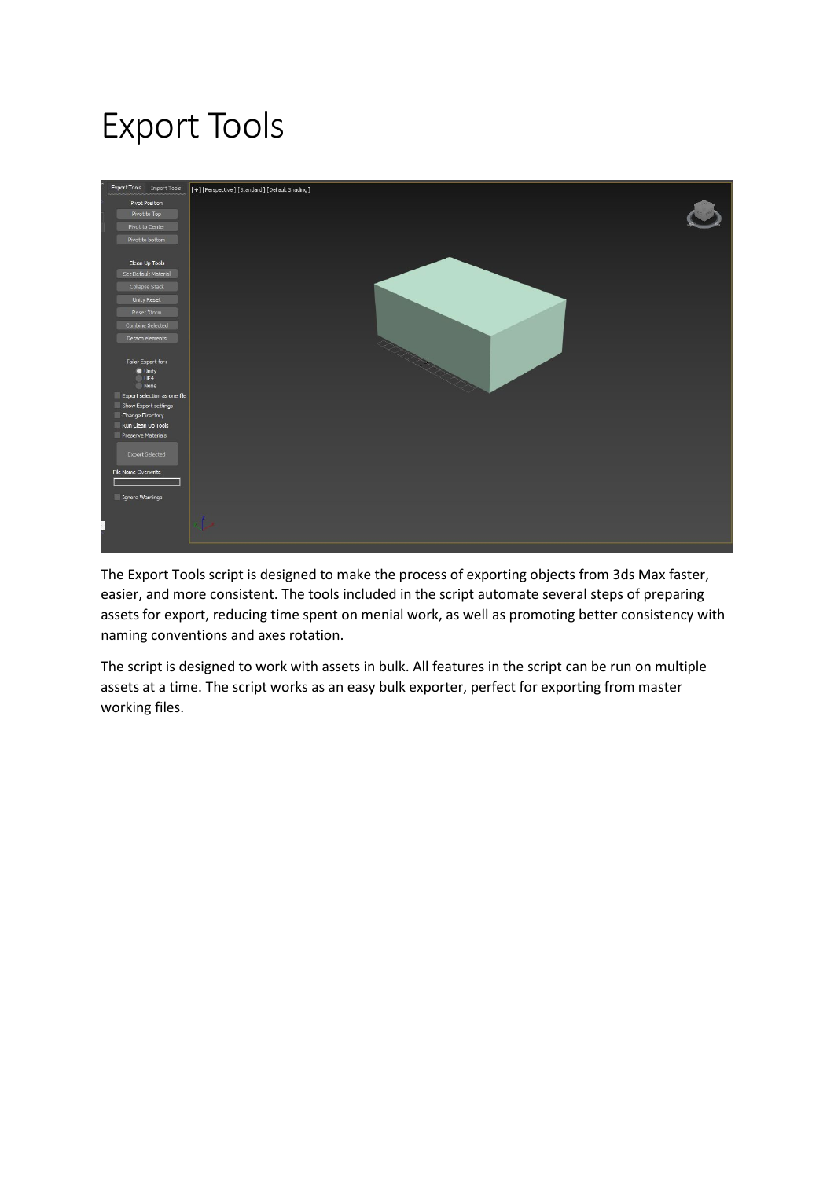# Export Tools



The Export Tools script is designed to make the process of exporting objects from 3ds Max faster, easier, and more consistent. The tools included in the script automate several steps of preparing assets for export, reducing time spent on menial work, as well as promoting better consistency with naming conventions and axes rotation.

The script is designed to work with assets in bulk. All features in the script can be run on multiple assets at a time. The script works as an easy bulk exporter, perfect for exporting from master working files.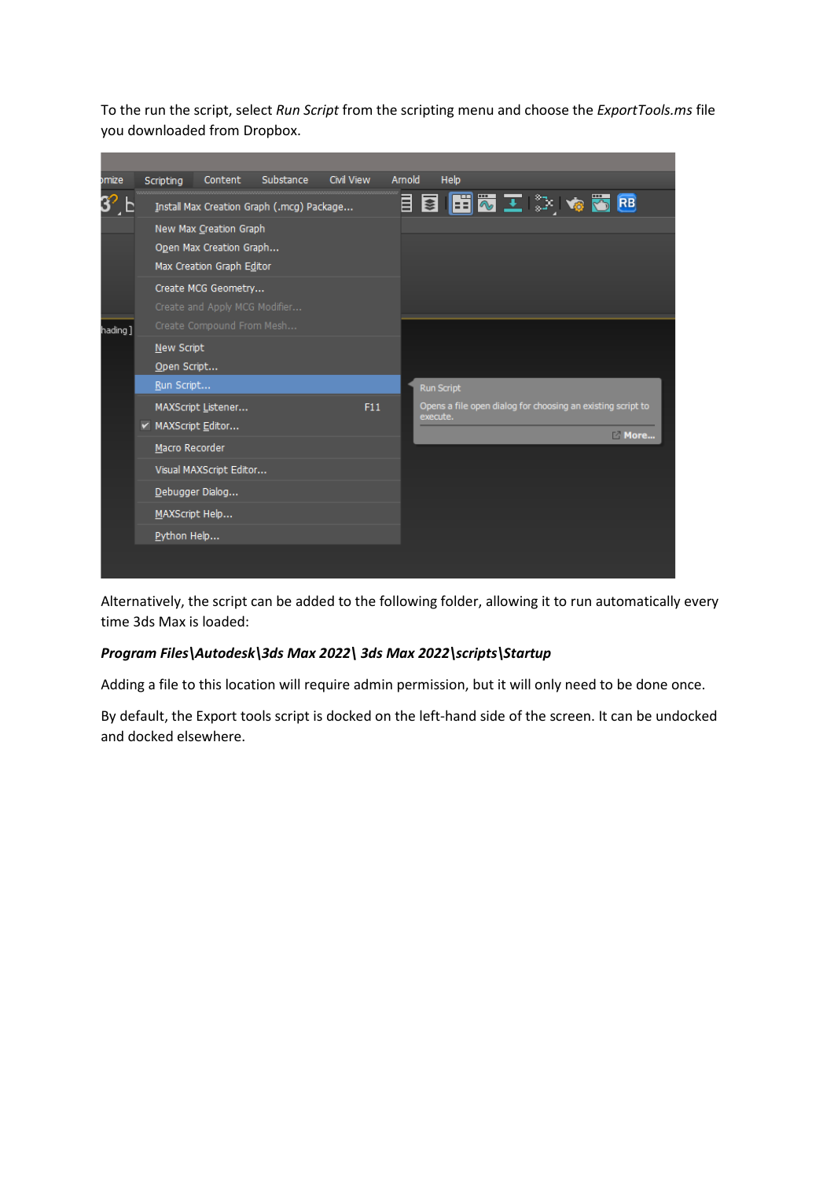To the run the script, select *Run Script* from the scripting menu and choose the *ExportTools.ms* file you downloaded from Dropbox.

| omize   | Scripting          | Content                       | Substance                                 | Civil View | Arnold |          | Help                                                        |  |      |  |
|---------|--------------------|-------------------------------|-------------------------------------------|------------|--------|----------|-------------------------------------------------------------|--|------|--|
|         |                    |                               | Install Max Creation Graph (.mcg) Package |            |        |          | 目目 田で エ ジ ゃあ B                                              |  |      |  |
|         |                    | New Max Creation Graph        |                                           |            |        |          |                                                             |  |      |  |
|         |                    | Open Max Creation Graph       |                                           |            |        |          |                                                             |  |      |  |
|         |                    | Max Creation Graph Editor     |                                           |            |        |          |                                                             |  |      |  |
|         |                    | Create MCG Geometry           |                                           |            |        |          |                                                             |  |      |  |
|         |                    | Create and Apply MCG Modifier |                                           |            |        |          |                                                             |  |      |  |
| hading] |                    | Create Compound From Mesh     |                                           |            |        |          |                                                             |  |      |  |
|         | New Script         |                               |                                           |            |        |          |                                                             |  |      |  |
|         | Open Script        |                               |                                           |            |        |          |                                                             |  |      |  |
|         | Run Script         |                               |                                           |            |        |          | <b>Run Script</b>                                           |  |      |  |
|         |                    | MAXScript Listener            |                                           | F11        |        | execute. | Opens a file open dialog for choosing an existing script to |  |      |  |
|         | v MAXScript Editor |                               |                                           |            |        |          |                                                             |  | More |  |
|         | Macro Recorder     |                               |                                           |            |        |          |                                                             |  |      |  |
|         |                    | Visual MAXScript Editor       |                                           |            |        |          |                                                             |  |      |  |
|         | Debugger Dialog    |                               |                                           |            |        |          |                                                             |  |      |  |
|         | MAXScript Help     |                               |                                           |            |        |          |                                                             |  |      |  |
|         | Python Help        |                               |                                           |            |        |          |                                                             |  |      |  |
|         |                    |                               |                                           |            |        |          |                                                             |  |      |  |
|         |                    |                               |                                           |            |        |          |                                                             |  |      |  |

Alternatively, the script can be added to the following folder, allowing it to run automatically every time 3ds Max is loaded:

#### *Program Files\Autodesk\3ds Max 2022\ 3ds Max 2022\scripts\Startup*

Adding a file to this location will require admin permission, but it will only need to be done once.

By default, the Export tools script is docked on the left-hand side of the screen. It can be undocked and docked elsewhere.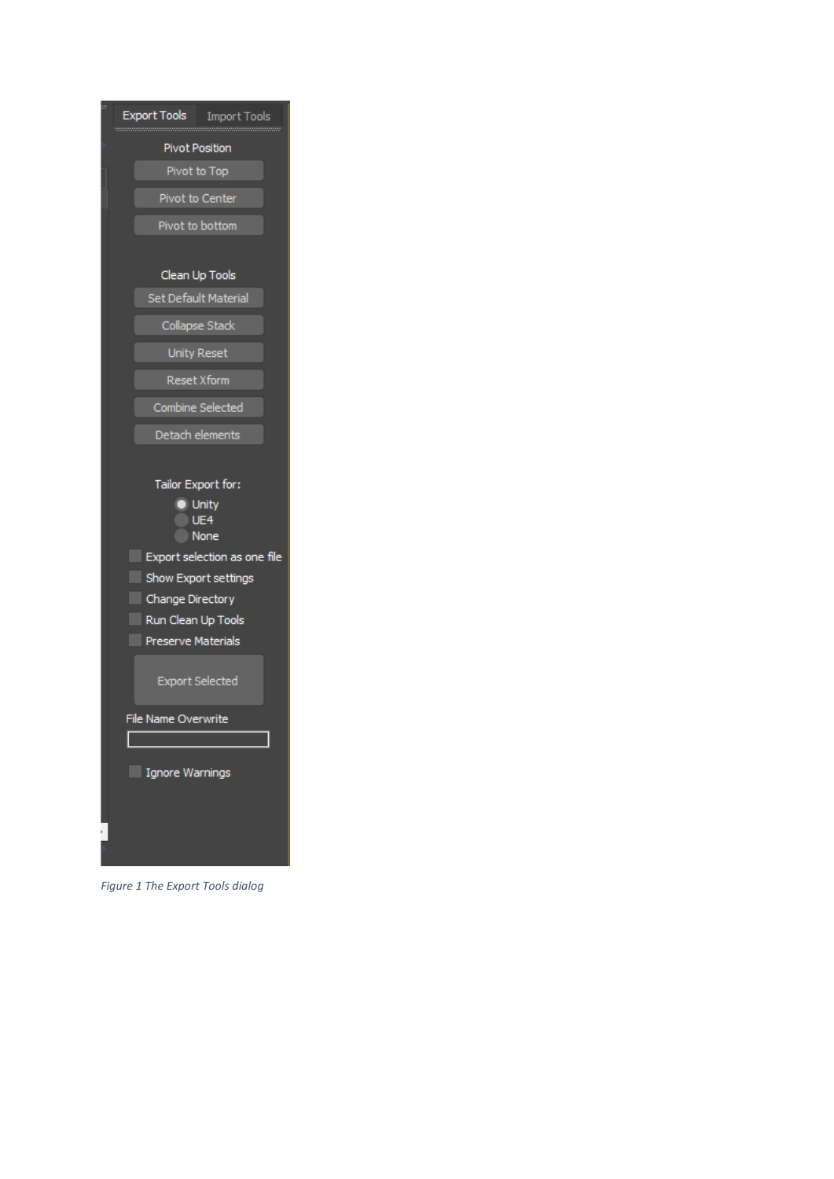| w | Export Tools<br><b>Import Tools</b> |
|---|-------------------------------------|
|   |                                     |
|   | <b>Pivot Position</b>               |
|   | Pivot to Top                        |
|   | <b>Pivot to Center</b>              |
|   | Pivot to bottom                     |
|   |                                     |
|   | Clean Up Tools                      |
|   | Set Default Material                |
|   | Collapse Stack                      |
|   | <b>Unity Reset</b>                  |
|   | <b>Reset Xform</b>                  |
|   | Combine Selected                    |
|   | Detach elements                     |
|   |                                     |
|   | Tailor Export for:                  |
|   | Unity                               |
|   | UE <sub>4</sub>                     |
|   | None                                |
|   | Export selection as one file<br>e.  |
|   | Show Export settings                |
|   | Change Directory                    |
|   | Run Clean Up Tools                  |
|   | <b>Preserve Materials</b>           |
|   |                                     |
|   | <b>Export Selected</b>              |
|   | <b>File Name Overwrite</b>          |
|   |                                     |
|   | <b>Ignore Warnings</b>              |
|   |                                     |
|   |                                     |
|   |                                     |
|   |                                     |

*Figure 1 The Export Tools dialog*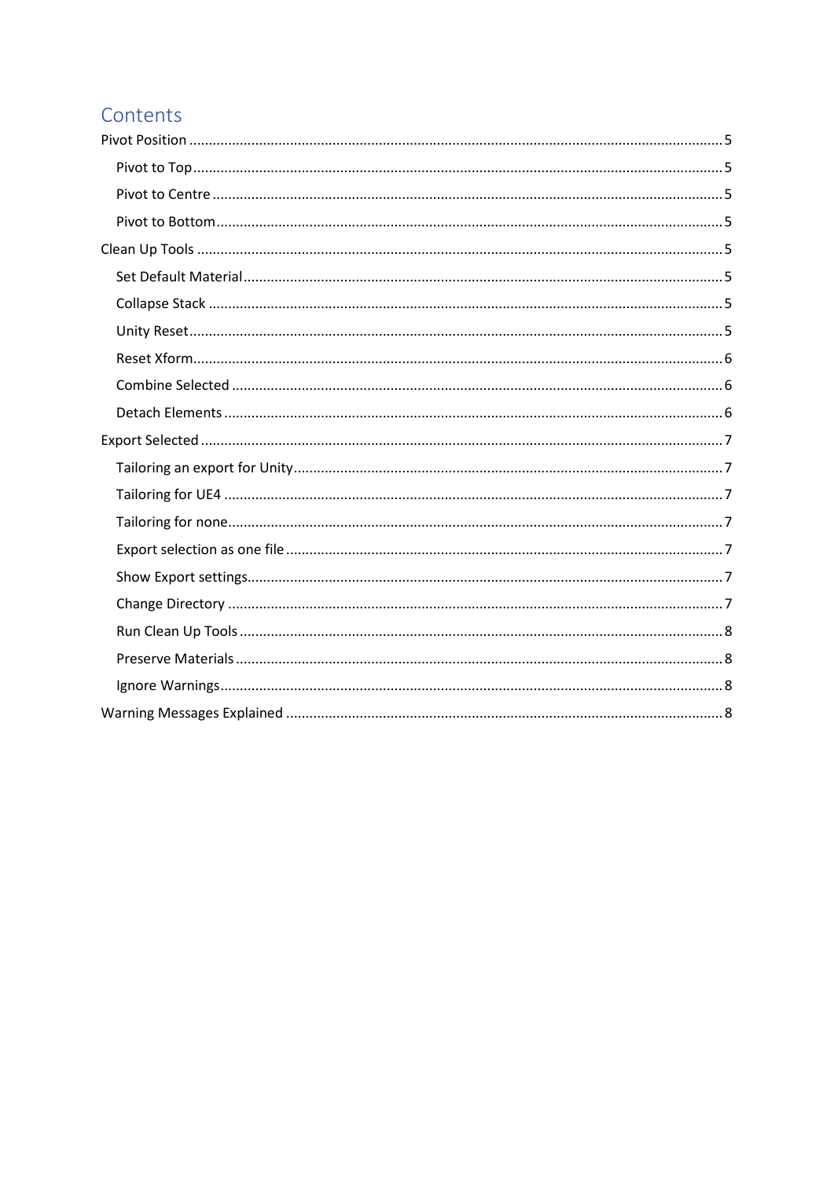## Contents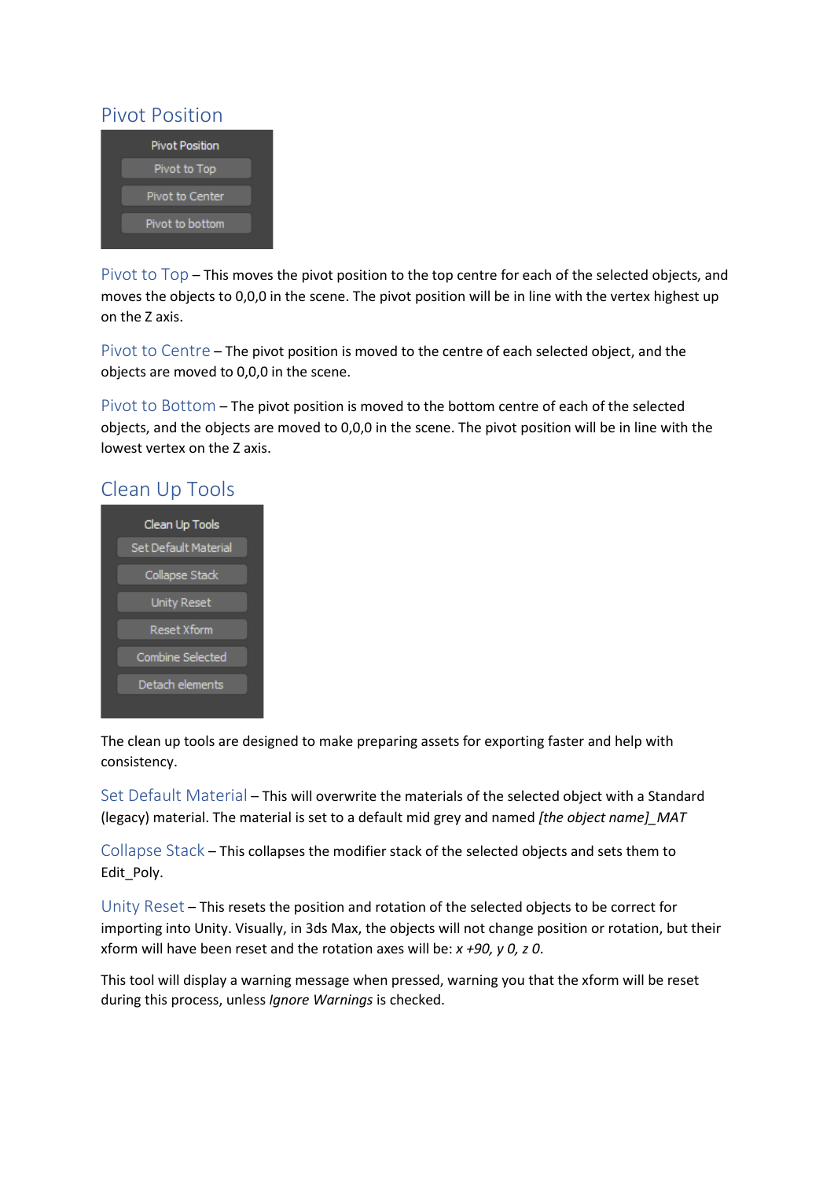#### <span id="page-4-0"></span>Pivot Position



<span id="page-4-1"></span>Pivot to Top – This moves the pivot position to the top centre for each of the selected objects, and moves the objects to 0,0,0 in the scene. The pivot position will be in line with the vertex highest up on the Z axis.

<span id="page-4-2"></span>Pivot to Centre – The pivot position is moved to the centre of each selected object, and the objects are moved to 0,0,0 in the scene.

<span id="page-4-3"></span>Pivot to Bottom – The pivot position is moved to the bottom centre of each of the selected objects, and the objects are moved to 0,0,0 in the scene. The pivot position will be in line with the lowest vertex on the Z axis.

#### <span id="page-4-4"></span>Clean Up Tools



The clean up tools are designed to make preparing assets for exporting faster and help with consistency.

<span id="page-4-5"></span>Set Default Material – This will overwrite the materials of the selected object with a Standard (legacy) material. The material is set to a default mid grey and named *[the object name]\_MAT*

<span id="page-4-6"></span>Collapse Stack – This collapses the modifier stack of the selected objects and sets them to Edit\_Poly.

<span id="page-4-7"></span>Unity Reset – This resets the position and rotation of the selected objects to be correct for importing into Unity. Visually, in 3ds Max, the objects will not change position or rotation, but their xform will have been reset and the rotation axes will be: *x +90, y 0, z 0*.

This tool will display a warning message when pressed, warning you that the xform will be reset during this process, unless *Ignore Warnings* is checked.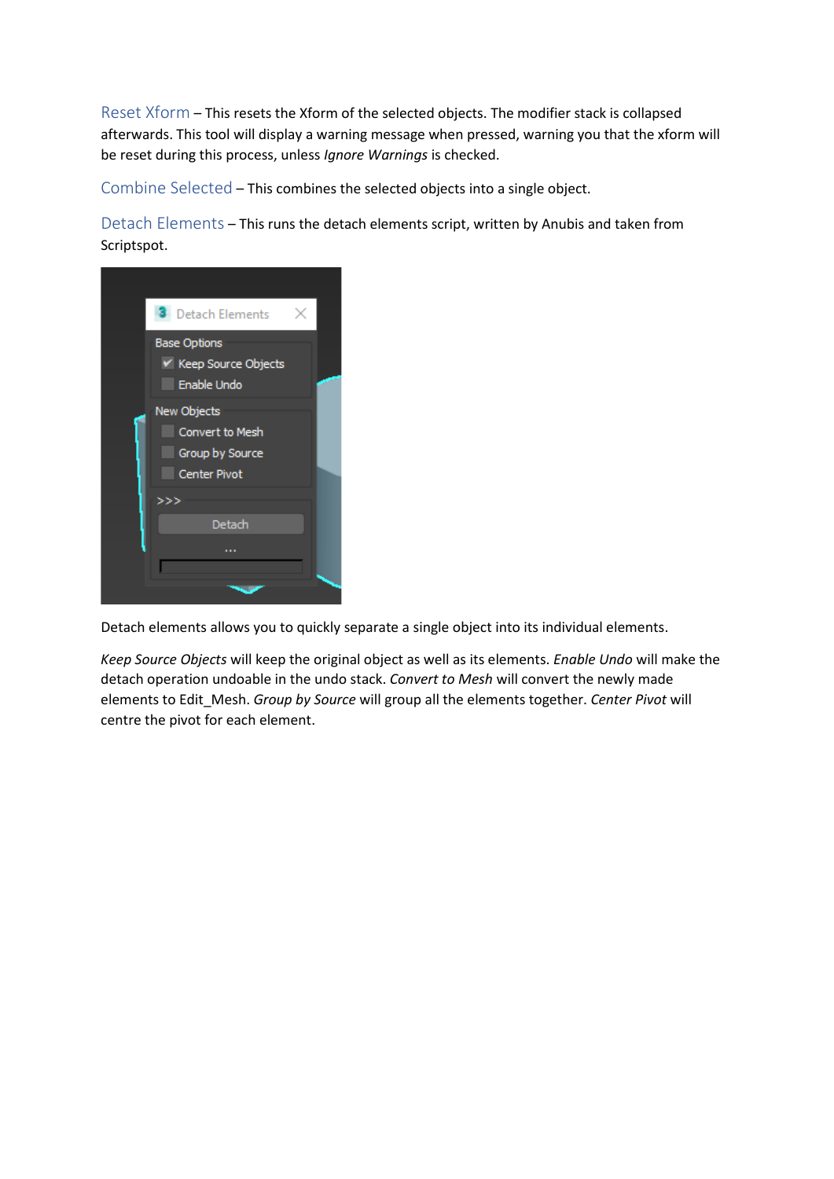<span id="page-5-0"></span>Reset Xform – This resets the Xform of the selected objects. The modifier stack is collapsed afterwards. This tool will display a warning message when pressed, warning you that the xform will be reset during this process, unless *Ignore Warnings* is checked.

<span id="page-5-1"></span>Combine Selected – This combines the selected objects into a single object.

<span id="page-5-2"></span>Detach Elements – This runs the detach elements script, written by Anubis and taken from Scriptspot.



Detach elements allows you to quickly separate a single object into its individual elements.

*Keep Source Objects* will keep the original object as well as its elements. *Enable Undo* will make the detach operation undoable in the undo stack. *Convert to Mesh* will convert the newly made elements to Edit\_Mesh. *Group by Source* will group all the elements together. *Center Pivot* will centre the pivot for each element.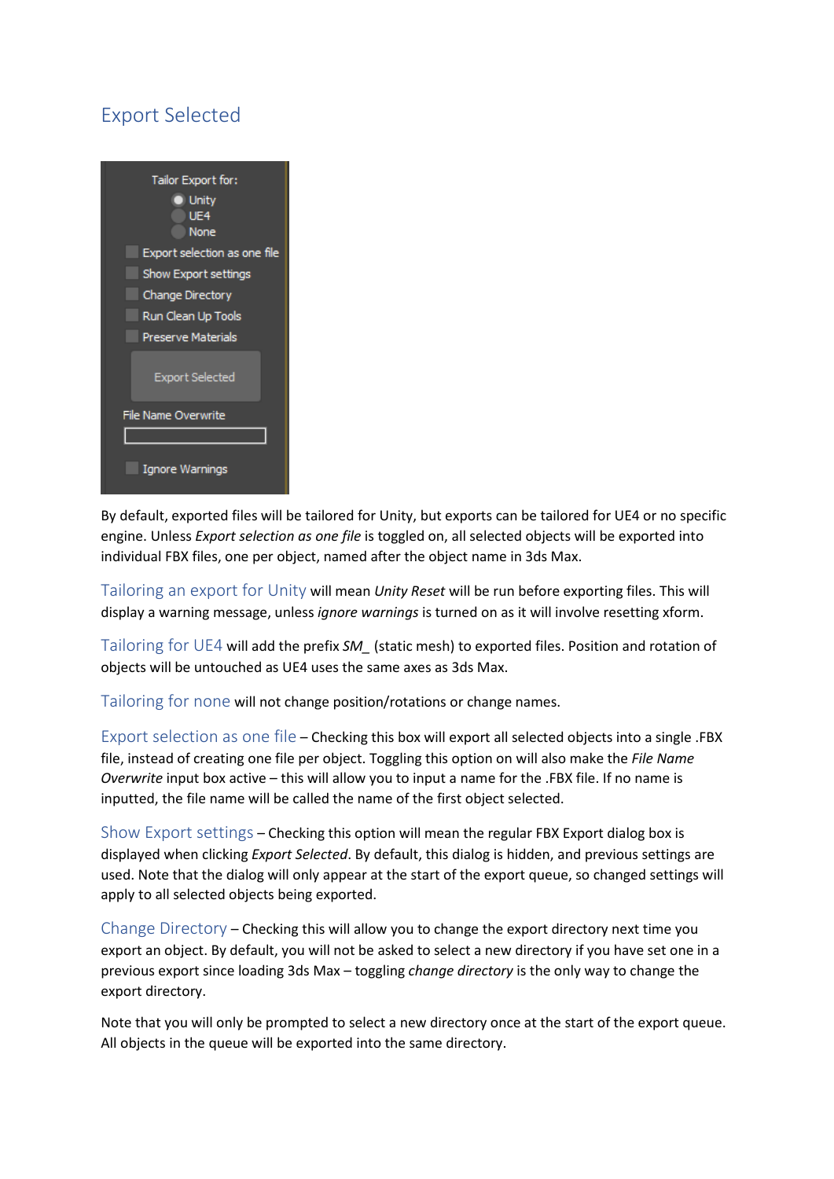# <span id="page-6-0"></span>Export Selected



By default, exported files will be tailored for Unity, but exports can be tailored for UE4 or no specific engine. Unless *Export selection as one file* is toggled on, all selected objects will be exported into individual FBX files, one per object, named after the object name in 3ds Max.

<span id="page-6-1"></span>Tailoring an export for Unity will mean *Unity Reset* will be run before exporting files. This will display a warning message, unless *ignore warnings* is turned on as it will involve resetting xform.

<span id="page-6-2"></span>Tailoring for UE4 will add the prefix *SM\_* (static mesh) to exported files. Position and rotation of objects will be untouched as UE4 uses the same axes as 3ds Max.

<span id="page-6-3"></span>Tailoring for none will not change position/rotations or change names.

<span id="page-6-4"></span>Export selection as one file – Checking this box will export all selected objects into a single .FBX file, instead of creating one file per object. Toggling this option on will also make the *File Name Overwrite* input box active – this will allow you to input a name for the .FBX file. If no name is inputted, the file name will be called the name of the first object selected.

<span id="page-6-5"></span>Show Export settings – Checking this option will mean the regular FBX Export dialog box is displayed when clicking *Export Selected*. By default, this dialog is hidden, and previous settings are used. Note that the dialog will only appear at the start of the export queue, so changed settings will apply to all selected objects being exported.

<span id="page-6-6"></span>Change Directory – Checking this will allow you to change the export directory next time you export an object. By default, you will not be asked to select a new directory if you have set one in a previous export since loading 3ds Max – toggling *change directory* is the only way to change the export directory.

Note that you will only be prompted to select a new directory once at the start of the export queue. All objects in the queue will be exported into the same directory.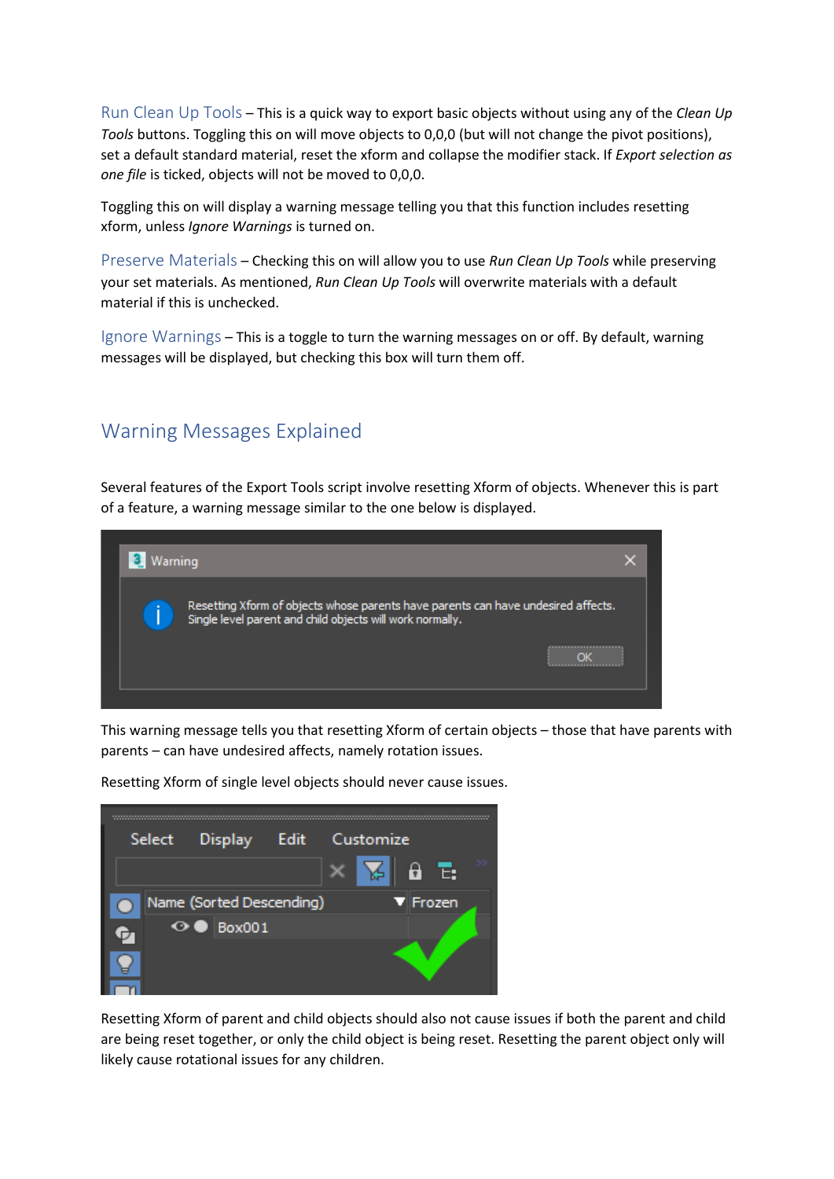<span id="page-7-0"></span>Run Clean Up Tools – This is a quick way to export basic objects without using any of the *Clean Up Tools* buttons. Toggling this on will move objects to 0,0,0 (but will not change the pivot positions), set a default standard material, reset the xform and collapse the modifier stack. If *Export selection as one file* is ticked, objects will not be moved to 0,0,0.

Toggling this on will display a warning message telling you that this function includes resetting xform, unless *Ignore Warnings* is turned on.

<span id="page-7-1"></span>Preserve Materials – Checking this on will allow you to use *Run Clean Up Tools* while preserving your set materials. As mentioned, *Run Clean Up Tools* will overwrite materials with a default material if this is unchecked.

<span id="page-7-2"></span>Ignore Warnings – This is a toggle to turn the warning messages on or off. By default, warning messages will be displayed, but checking this box will turn them off.

### <span id="page-7-3"></span>Warning Messages Explained

Several features of the Export Tools script involve resetting Xform of objects. Whenever this is part of a feature, a warning message similar to the one below is displayed.



This warning message tells you that resetting Xform of certain objects – those that have parents with parents – can have undesired affects, namely rotation issues.



Resetting Xform of single level objects should never cause issues.

Resetting Xform of parent and child objects should also not cause issues if both the parent and child are being reset together, or only the child object is being reset. Resetting the parent object only will likely cause rotational issues for any children.